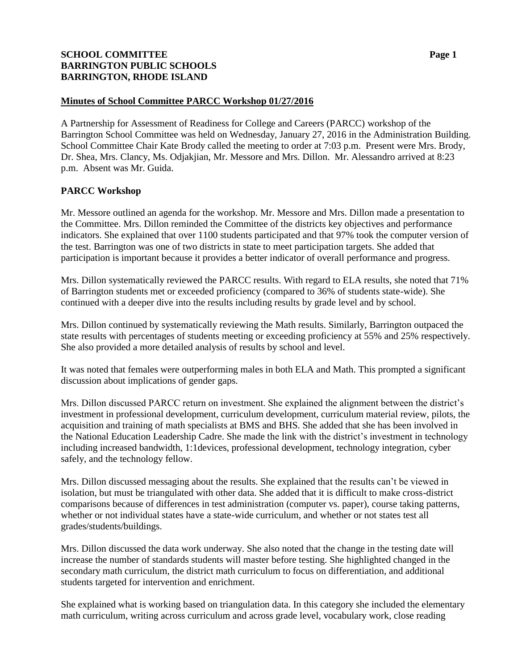# **SCHOOL COMMITTEE Page 1 BARRINGTON PUBLIC SCHOOLS BARRINGTON, RHODE ISLAND**

## **Minutes of School Committee PARCC Workshop 01/27/2016**

A Partnership for Assessment of Readiness for College and Careers (PARCC) workshop of the Barrington School Committee was held on Wednesday, January 27, 2016 in the Administration Building. School Committee Chair Kate Brody called the meeting to order at 7:03 p.m. Present were Mrs. Brody, Dr. Shea, Mrs. Clancy, Ms. Odjakjian, Mr. Messore and Mrs. Dillon. Mr. Alessandro arrived at 8:23 p.m. Absent was Mr. Guida.

# **PARCC Workshop**

Mr. Messore outlined an agenda for the workshop. Mr. Messore and Mrs. Dillon made a presentation to the Committee. Mrs. Dillon reminded the Committee of the districts key objectives and performance indicators. She explained that over 1100 students participated and that 97% took the computer version of the test. Barrington was one of two districts in state to meet participation targets. She added that participation is important because it provides a better indicator of overall performance and progress.

Mrs. Dillon systematically reviewed the PARCC results. With regard to ELA results, she noted that 71% of Barrington students met or exceeded proficiency (compared to 36% of students state-wide). She continued with a deeper dive into the results including results by grade level and by school.

Mrs. Dillon continued by systematically reviewing the Math results. Similarly, Barrington outpaced the state results with percentages of students meeting or exceeding proficiency at 55% and 25% respectively. She also provided a more detailed analysis of results by school and level.

It was noted that females were outperforming males in both ELA and Math. This prompted a significant discussion about implications of gender gaps.

Mrs. Dillon discussed PARCC return on investment. She explained the alignment between the district's investment in professional development, curriculum development, curriculum material review, pilots, the acquisition and training of math specialists at BMS and BHS. She added that she has been involved in the National Education Leadership Cadre. She made the link with the district's investment in technology including increased bandwidth, 1:1devices, professional development, technology integration, cyber safely, and the technology fellow.

Mrs. Dillon discussed messaging about the results. She explained that the results can't be viewed in isolation, but must be triangulated with other data. She added that it is difficult to make cross-district comparisons because of differences in test administration (computer vs. paper), course taking patterns, whether or not individual states have a state-wide curriculum, and whether or not states test all grades/students/buildings.

Mrs. Dillon discussed the data work underway. She also noted that the change in the testing date will increase the number of standards students will master before testing. She highlighted changed in the secondary math curriculum, the district math curriculum to focus on differentiation, and additional students targeted for intervention and enrichment.

She explained what is working based on triangulation data. In this category she included the elementary math curriculum, writing across curriculum and across grade level, vocabulary work, close reading